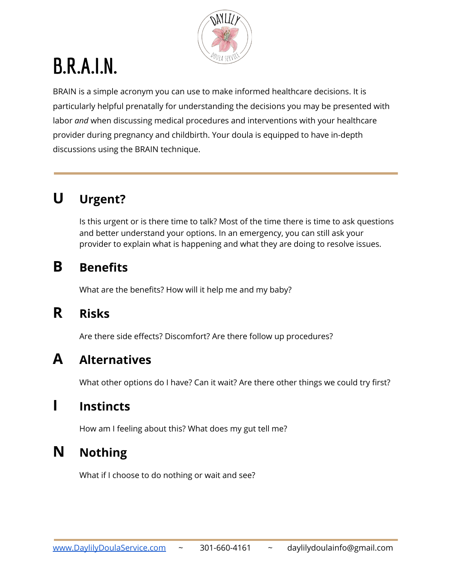

# **B.R.A.I.N.**

BRAIN is a simple acronym you can use to make informed healthcare decisions. It is particularly helpful prenatally for understanding the decisions you may be presented with labor *and* when discussing medical procedures and interventions with your healthcare provider during pregnancy and childbirth. Your doula is equipped to have in-depth discussions using the BRAIN technique.

## **U Urgent?**

Is this urgent or is there time to talk? Most of the time there is time to ask questions and better understand your options. In an emergency, you can still ask your provider to explain what is happening and what they are doing to resolve issues.

#### **B Benefits**

What are the benefits? How will it help me and my baby?

#### **R Risks**

Are there side effects? Discomfort? Are there follow up procedures?

#### **A Alternatives**

What other options do I have? Can it wait? Are there other things we could try first?

#### **I Instincts**

How am I feeling about this? What does my gut tell me?

### **N Nothing**

What if I choose to do nothing or wait and see?